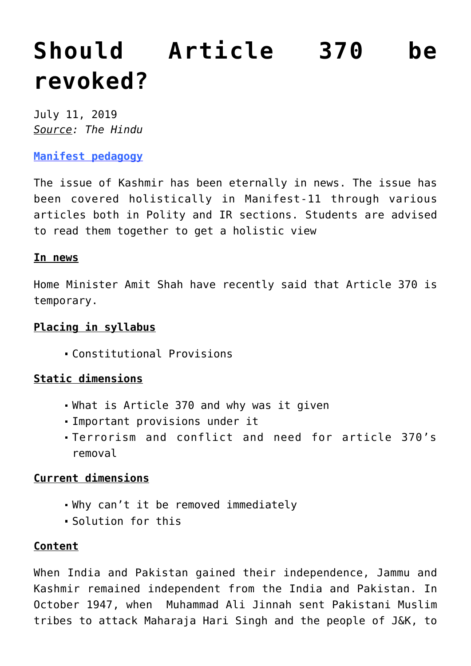# **[Should Article 370 be](https://journalsofindia.com/should-article-370-be-revoked/) [revoked?](https://journalsofindia.com/should-article-370-be-revoked/)**

July 11, 2019 *Source: The Hindu*

**[Manifest pedagogy](https://www.manifestias.com/2018/11/05/manifest-pedagogy-looking-beyond-the-issue/)**

The issue of Kashmir has been eternally in news. The issue has been covered holistically in Manifest-11 through various articles both in Polity and IR sections. Students are advised to read them together to get a holistic view

#### **In news**

Home Minister Amit Shah have recently said that Article 370 is temporary.

### **Placing in syllabus**

Constitutional Provisions

# **Static dimensions**

- What is Article 370 and why was it given
- Important provisions under it
- Terrorism and conflict and need for article 370's removal

# **Current dimensions**

- Why can't it be removed immediately
- Solution for this

# **Content**

When India and Pakistan gained their independence, Jammu and Kashmir remained independent from the India and Pakistan. In October 1947, when Muhammad Ali Jinnah sent Pakistani Muslim tribes to attack Maharaja Hari Singh and the people of J&K, to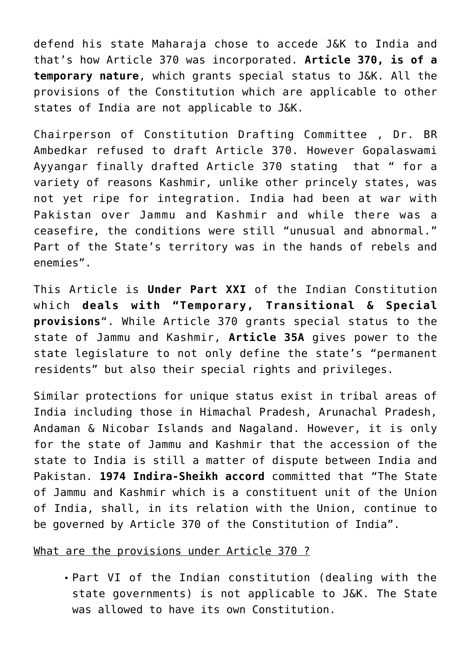defend his state Maharaja chose to accede J&K to India and that's how Article 370 was incorporated. **Article 370, is of a temporary nature**, which grants special status to J&K. All the provisions of the Constitution which are applicable to other states of India are not applicable to J&K.

Chairperson of Constitution Drafting Committee , Dr. BR Ambedkar refused to draft Article 370. However Gopalaswami Ayyangar finally drafted Article 370 stating that " for a variety of reasons Kashmir, unlike other princely states, was not yet ripe for integration. India had been at war with Pakistan over Jammu and Kashmir and while there was a ceasefire, the conditions were still "unusual and abnormal." Part of the State's territory was in the hands of rebels and enemies".

This Article is **Under Part XXI** of the Indian Constitution which **deals with "Temporary, Transitional & Special provisions**". While Article 370 grants special status to the state of Jammu and Kashmir, **Article 35A** gives power to the state legislature to not only define the state's "permanent residents" but also their special rights and privileges.

Similar protections for unique status exist in tribal areas of India including those in Himachal Pradesh, Arunachal Pradesh, Andaman & Nicobar Islands and Nagaland. However, it is only for the state of Jammu and Kashmir that the accession of the state to India is still a matter of dispute between India and Pakistan. **1974 Indira-Sheikh accord** committed that "The State of Jammu and Kashmir which is a constituent unit of the Union of India, shall, in its relation with the Union, continue to be governed by Article 370 of the Constitution of India".

#### What are the provisions under Article 370 ?

Part VI of the Indian constitution (dealing with the state governments) is not applicable to J&K. The State was allowed to have its own Constitution.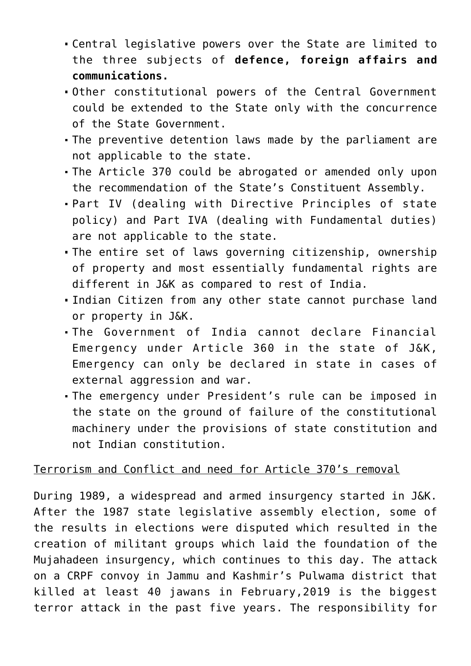- Central legislative powers over the State are limited to the three subjects of **defence, foreign affairs and communications.**
- Other constitutional powers of the Central Government could be extended to the State only with the concurrence of the State Government.
- The preventive detention laws made by the parliament are not applicable to the state.
- The Article 370 could be abrogated or amended only upon the recommendation of the State's Constituent Assembly.
- Part IV (dealing with Directive Principles of state policy) and Part IVA (dealing with Fundamental duties) are not applicable to the state.
- The entire set of laws governing citizenship, ownership of property and most essentially fundamental rights are different in J&K as compared to rest of India.
- Indian Citizen from any other state cannot purchase land or property in J&K.
- The Government of India cannot declare Financial Emergency under Article 360 in the state of J&K, Emergency can only be declared in state in cases of external aggression and war.
- The emergency under President's rule can be imposed in the state on the ground of failure of the constitutional machinery under the provisions of state constitution and not Indian constitution.

# Terrorism and Conflict and need for Article 370's removal

During 1989, a widespread and armed insurgency started in J&K. After the 1987 state legislative assembly election, some of the results in elections were disputed which resulted in the creation of militant groups which laid the foundation of the Mujahadeen insurgency, which continues to this day. The attack on a CRPF convoy in Jammu and Kashmir's Pulwama district that killed at least 40 jawans in February,2019 is the biggest terror attack in the past five years. The responsibility for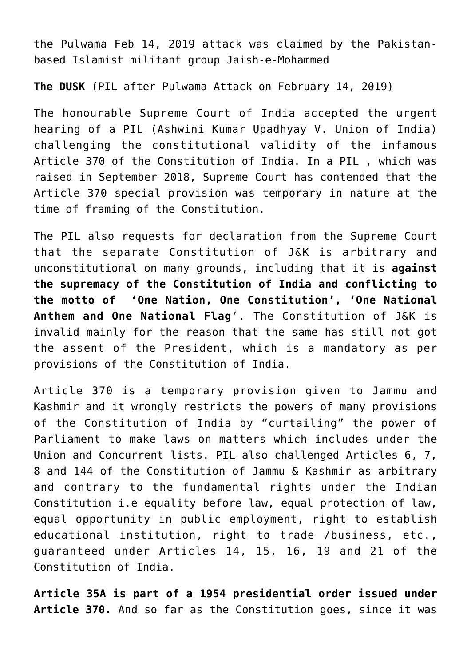the Pulwama Feb 14, 2019 attack was claimed by the Pakistanbased Islamist militant group Jaish-e-Mohammed

#### **The DUSK** (PIL after Pulwama Attack on February 14, 2019)

The honourable Supreme Court of India accepted the urgent hearing of a PIL (Ashwini Kumar Upadhyay V. Union of India) challenging the constitutional validity of the infamous Article 370 of the Constitution of India. In a PIL , which was raised in September 2018, Supreme Court has contended that the Article 370 special provision was temporary in nature at the time of framing of the Constitution.

The PIL also requests for declaration from the Supreme Court that the separate Constitution of J&K is arbitrary and unconstitutional on many grounds, including that it is **against the supremacy of the Constitution of India and conflicting to the motto of 'One Nation, One Constitution', 'One National Anthem and One National Flag**'. The Constitution of J&K is invalid mainly for the reason that the same has still not got the assent of the President, which is a mandatory as per provisions of the Constitution of India.

Article 370 is a temporary provision given to Jammu and Kashmir and it wrongly restricts the powers of many provisions of the Constitution of India by "curtailing" the power of Parliament to make laws on matters which includes under the Union and Concurrent lists. PIL also challenged Articles 6, 7, 8 and 144 of the Constitution of Jammu & Kashmir as arbitrary and contrary to the fundamental rights under the Indian Constitution i.e equality before law, equal protection of law, equal opportunity in public employment, right to establish educational institution, right to trade /business, etc., guaranteed under Articles 14, 15, 16, 19 and 21 of the Constitution of India.

**Article 35A is part of a 1954 presidential order issued under Article 370.** And so far as the Constitution goes, since it was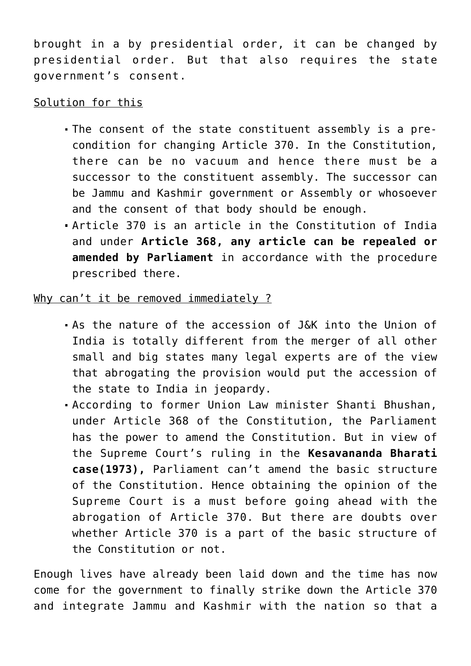brought in a by presidential order, it can be changed by presidential order. But that also requires the state government's consent.

# Solution for this

- The consent of the state constituent assembly is a precondition for changing Article 370. In the Constitution, there can be no vacuum and hence there must be a successor to the constituent assembly. The successor can be Jammu and Kashmir government or Assembly or whosoever and the consent of that body should be enough.
- Article 370 is an article in the Constitution of India and under **Article 368, any article can be repealed or amended by Parliament** in accordance with the procedure prescribed there.

# Why can't it be removed immediately ?

- As the nature of the accession of J&K into the Union of India is totally different from the merger of all other small and big states many legal experts are of the view that abrogating the provision would put the accession of the state to India in jeopardy.
- According to former Union Law minister Shanti Bhushan, under Article 368 of the Constitution, the Parliament has the power to amend the Constitution. But in view of the Supreme Court's ruling in the **Kesavananda Bharati case(1973),** Parliament can't amend the basic structure of the Constitution. Hence obtaining the opinion of the Supreme Court is a must before going ahead with the abrogation of Article 370. But there are doubts over whether Article 370 is a part of the basic structure of the Constitution or not.

Enough lives have already been laid down and the time has now come for the government to finally strike down the Article 370 and integrate Jammu and Kashmir with the nation so that a